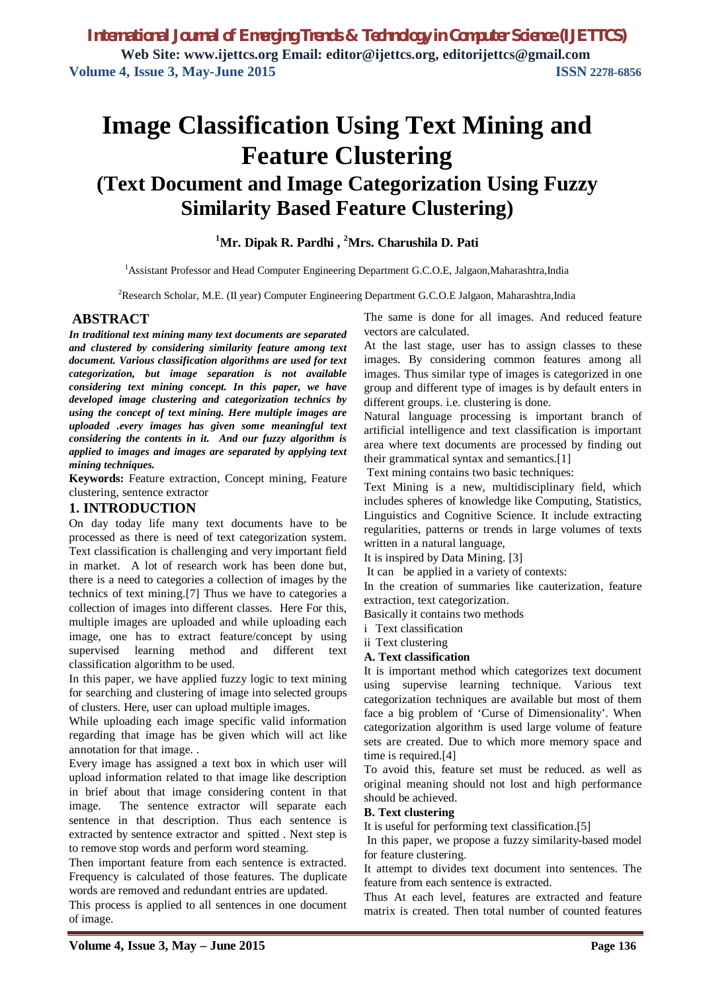# **Image Classification Using Text Mining and Feature Clustering (Text Document and Image Categorization Using Fuzzy Similarity Based Feature Clustering)**

## **<sup>1</sup>Mr. Dipak R. Pardhi , <sup>2</sup>Mrs. Charushila D. Pati**

<sup>1</sup> Assistant Professor and Head Computer Engineering Department G.C.O.E, Jalgaon, Maharashtra, India

<sup>2</sup>Research Scholar, M.E. (II year) Computer Engineering Department G.C.O.E Jalgaon, Maharashtra, India

#### **ABSTRACT**

*In traditional text mining many text documents are separated and clustered by considering similarity feature among text document. Various classification algorithms are used for text categorization, but image separation is not available considering text mining concept. In this paper, we have developed image clustering and categorization technics by using the concept of text mining. Here multiple images are uploaded .every images has given some meaningful text considering the contents in it. And our fuzzy algorithm is applied to images and images are separated by applying text mining techniques.*

**Keywords:** Feature extraction, Concept mining, Feature clustering, sentence extractor

#### **1. INTRODUCTION**

On day today life many text documents have to be processed as there is need of text categorization system. Text classification is challenging and very important field in market. A lot of research work has been done but, there is a need to categories a collection of images by the technics of text mining.[7] Thus we have to categories a collection of images into different classes. Here For this, multiple images are uploaded and while uploading each image, one has to extract feature/concept by using supervised learning method and different text classification algorithm to be used.

In this paper, we have applied fuzzy logic to text mining for searching and clustering of image into selected groups of clusters. Here, user can upload multiple images.

While uploading each image specific valid information regarding that image has be given which will act like annotation for that image. .

Every image has assigned a text box in which user will upload information related to that image like description in brief about that image considering content in that image. The sentence extractor will separate each sentence in that description. Thus each sentence is extracted by sentence extractor and spitted . Next step is to remove stop words and perform word steaming.

Then important feature from each sentence is extracted. Frequency is calculated of those features. The duplicate words are removed and redundant entries are updated.

This process is applied to all sentences in one document of image.

The same is done for all images. And reduced feature vectors are calculated.

At the last stage, user has to assign classes to these images. By considering common features among all images. Thus similar type of images is categorized in one group and different type of images is by default enters in different groups. i.e. clustering is done.

Natural language processing is important branch of artificial intelligence and text classification is important area where text documents are processed by finding out their grammatical syntax and semantics.[1]

Text mining contains two basic techniques:

Text Mining is a new, multidisciplinary field, which includes spheres of knowledge like Computing, Statistics, Linguistics and Cognitive Science. It include extracting regularities, patterns or trends in large volumes of texts written in a natural language,

It is inspired by Data Mining. [3]

It can be applied in a variety of contexts:

In the creation of summaries like cauterization, feature extraction, text categorization.

Basically it contains two methods

i Text classification

ii Text clustering

#### **A. Text classification**

It is important method which categorizes text document using supervise learning technique. Various text categorization techniques are available but most of them face a big problem of 'Curse of Dimensionality'. When categorization algorithm is used large volume of feature sets are created. Due to which more memory space and time is required.[4]

To avoid this, feature set must be reduced. as well as original meaning should not lost and high performance should be achieved.

#### **B. Text clustering**

It is useful for performing text classification.[5]

In this paper, we propose a fuzzy similarity-based model for feature clustering.

It attempt to divides text document into sentences. The feature from each sentence is extracted.

Thus At each level, features are extracted and feature matrix is created. Then total number of counted features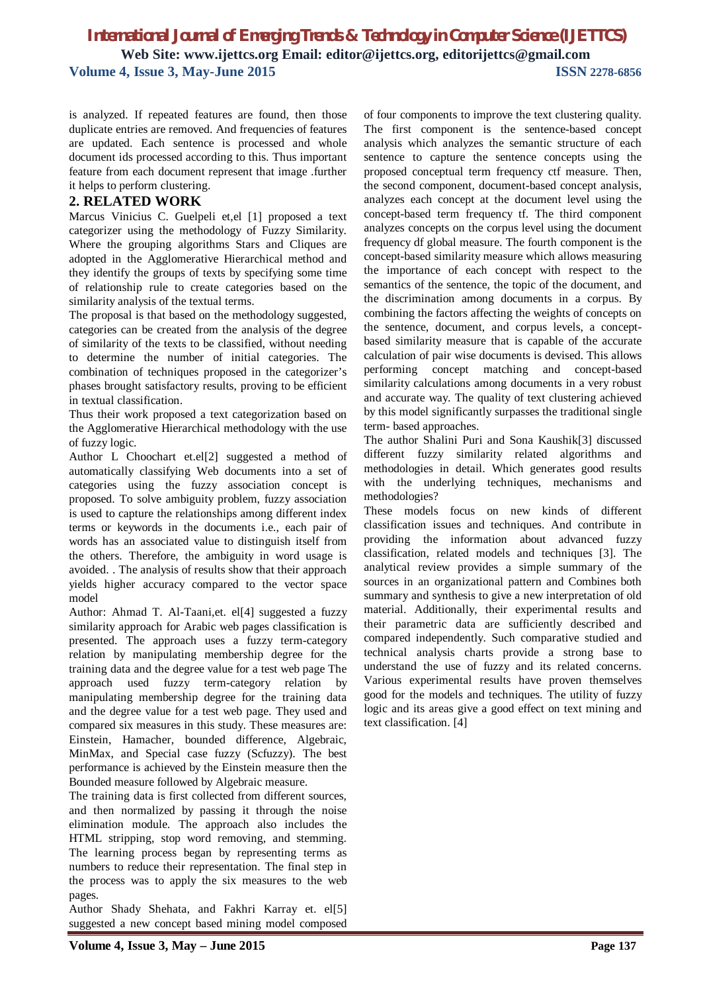is analyzed. If repeated features are found, then those duplicate entries are removed. And frequencies of features are updated. Each sentence is processed and whole document ids processed according to this. Thus important feature from each document represent that image .further it helps to perform clustering.

#### **2. RELATED WORK**

Marcus Vinicius C. Guelpeli et,el [1] proposed a text categorizer using the methodology of Fuzzy Similarity. Where the grouping algorithms Stars and Cliques are adopted in the Agglomerative Hierarchical method and they identify the groups of texts by specifying some time of relationship rule to create categories based on the similarity analysis of the textual terms.

The proposal is that based on the methodology suggested, categories can be created from the analysis of the degree of similarity of the texts to be classified, without needing to determine the number of initial categories. The combination of techniques proposed in the categorizer's phases brought satisfactory results, proving to be efficient in textual classification.

Thus their work proposed a text categorization based on the Agglomerative Hierarchical methodology with the use of fuzzy logic.

Author L Choochart et.el[2] suggested a method of automatically classifying Web documents into a set of categories using the fuzzy association concept is proposed. To solve ambiguity problem, fuzzy association is used to capture the relationships among different index terms or keywords in the documents i.e., each pair of words has an associated value to distinguish itself from the others. Therefore, the ambiguity in word usage is avoided. . The analysis of results show that their approach yields higher accuracy compared to the vector space model

Author: Ahmad T. Al-Taani,et. el[4] suggested a fuzzy similarity approach for Arabic web pages classification is presented. The approach uses a fuzzy term-category relation by manipulating membership degree for the training data and the degree value for a test web page The approach used fuzzy term-category relation by manipulating membership degree for the training data and the degree value for a test web page. They used and compared six measures in this study. These measures are: Einstein, Hamacher, bounded difference, Algebraic, MinMax, and Special case fuzzy (Scfuzzy). The best performance is achieved by the Einstein measure then the Bounded measure followed by Algebraic measure.

The training data is first collected from different sources, and then normalized by passing it through the noise elimination module. The approach also includes the HTML stripping, stop word removing, and stemming. The learning process began by representing terms as numbers to reduce their representation. The final step in the process was to apply the six measures to the web pages.

Author Shady Shehata, and Fakhri Karray et. el[5] suggested a new concept based mining model composed of four components to improve the text clustering quality. The first component is the sentence-based concept analysis which analyzes the semantic structure of each sentence to capture the sentence concepts using the proposed conceptual term frequency ctf measure. Then, the second component, document-based concept analysis, analyzes each concept at the document level using the concept-based term frequency tf. The third component analyzes concepts on the corpus level using the document frequency df global measure. The fourth component is the concept-based similarity measure which allows measuring the importance of each concept with respect to the semantics of the sentence, the topic of the document, and the discrimination among documents in a corpus. By combining the factors affecting the weights of concepts on the sentence, document, and corpus levels, a conceptbased similarity measure that is capable of the accurate calculation of pair wise documents is devised. This allows performing concept matching and concept-based similarity calculations among documents in a very robust and accurate way. The quality of text clustering achieved by this model significantly surpasses the traditional single term- based approaches.

The author Shalini Puri and Sona Kaushik[3] discussed different fuzzy similarity related algorithms and methodologies in detail. Which generates good results with the underlying techniques, mechanisms and methodologies?

These models focus on new kinds of different classification issues and techniques. And contribute in providing the information about advanced fuzzy classification, related models and techniques [3]. The analytical review provides a simple summary of the sources in an organizational pattern and Combines both summary and synthesis to give a new interpretation of old material. Additionally, their experimental results and their parametric data are sufficiently described and compared independently. Such comparative studied and technical analysis charts provide a strong base to understand the use of fuzzy and its related concerns. Various experimental results have proven themselves good for the models and techniques. The utility of fuzzy logic and its areas give a good effect on text mining and text classification. [4]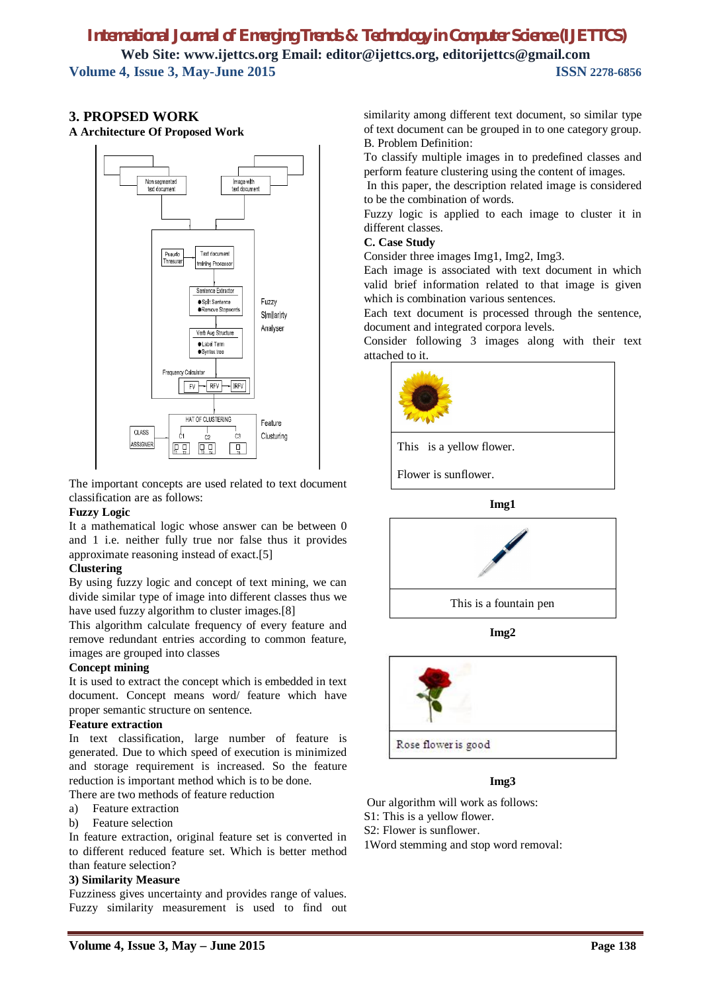## **3. PROPSED WORK**

**A Architecture Of Proposed Work**



The important concepts are used related to text document classification are as follows:

#### **Fuzzy Logic**

It a mathematical logic whose answer can be between 0 and 1 i.e. neither fully true nor false thus it provides approximate reasoning instead of exact.[5]

## **Clustering**

By using fuzzy logic and concept of text mining, we can divide similar type of image into different classes thus we have used fuzzy algorithm to cluster images.[8]

This algorithm calculate frequency of every feature and remove redundant entries according to common feature, images are grouped into classes

#### **Concept mining**

It is used to extract the concept which is embedded in text document. Concept means word/ feature which have proper semantic structure on sentence.

#### **Feature extraction**

In text classification, large number of feature is generated. Due to which speed of execution is minimized and storage requirement is increased. So the feature reduction is important method which is to be done.

There are two methods of feature reduction

- a) Feature extraction
- b) Feature selection

In feature extraction, original feature set is converted in to different reduced feature set. Which is better method than feature selection?

#### **3) Similarity Measure**

Fuzziness gives uncertainty and provides range of values. Fuzzy similarity measurement is used to find out similarity among different text document, so similar type of text document can be grouped in to one category group. B. Problem Definition:

To classify multiple images in to predefined classes and perform feature clustering using the content of images.

In this paper, the description related image is considered to be the combination of words.

Fuzzy logic is applied to each image to cluster it in different classes.

#### **C. Case Study**

Consider three images Img1, Img2, Img3.

Each image is associated with text document in which valid brief information related to that image is given which is combination various sentences.

Each text document is processed through the sentence, document and integrated corpora levels.

Consider following 3 images along with their text attached to it.



Flower is sunflower.





**Img2**



## **Img3**

Our algorithm will work as follows:

S1: This is a yellow flower.

S2: Flower is sunflower.

1Word stemming and stop word removal: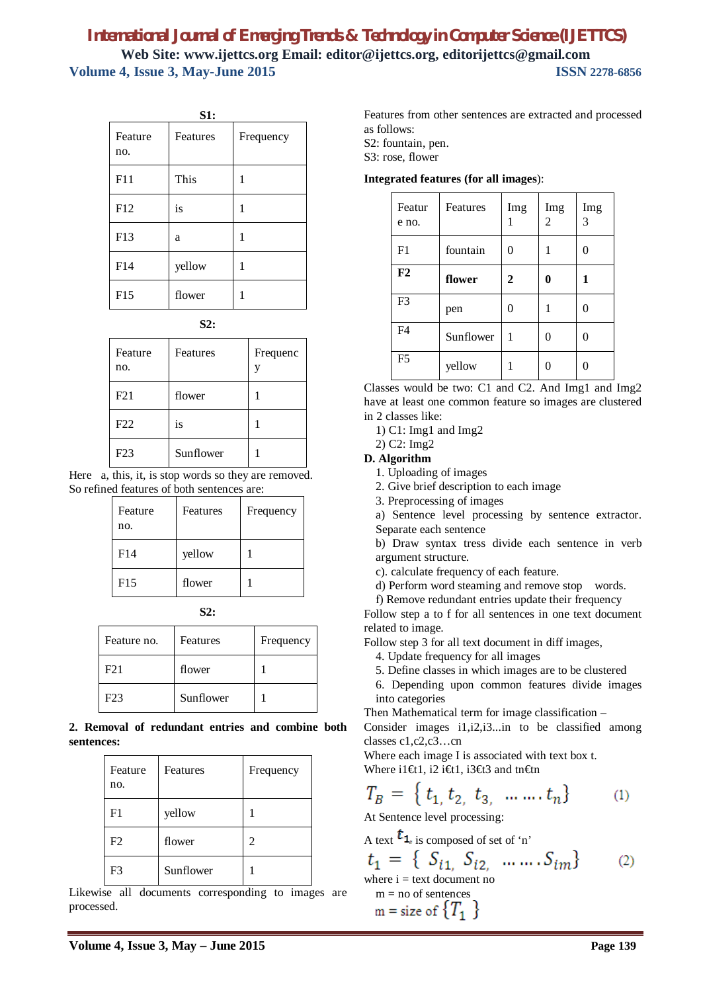| S1:            |          |           |  |
|----------------|----------|-----------|--|
| Feature<br>no. | Features | Frequency |  |
| F11            | This     | 1         |  |
| F12            | is       | 1         |  |
| F13            | a        | 1         |  |
| F14            | yellow   | 1         |  |
| F15            | flower   | 1         |  |

**S2:**

| Feature<br>no. | Features  | Frequenc<br>V |
|----------------|-----------|---------------|
| F21            | flower    |               |
| F22            | is        |               |
| F23            | Sunflower |               |

Here a, this, it, is stop words so they are removed. So refined features of both sentences are:

| Feature<br>no. | Features | Frequency |
|----------------|----------|-----------|
| F14            | yellow   |           |
| F15            | flower   |           |

| Feature no.     | Features  | Frequency |
|-----------------|-----------|-----------|
| F <sub>21</sub> | flower    |           |
| F23             | Sunflower |           |

**2. Removal of redundant entries and combine both sentences:**

| Feature<br>no. | Features  | Frequency |
|----------------|-----------|-----------|
| F <sub>1</sub> | yellow    |           |
| F <sub>2</sub> | flower    | 2         |
| F3             | Sunflower |           |

Likewise all documents corresponding to images are processed.

Features from other sentences are extracted and processed as follows:

S2: fountain, pen.

S3: rose, flower

**Integrated features (for all images**):

| Featur<br>e no. | Features  | Img | Img<br>2 | Img<br>3 |
|-----------------|-----------|-----|----------|----------|
| F1              | fountain  | 0   |          |          |
| F2              | flower    | 2   | 0        | 1        |
| F <sub>3</sub>  | pen       | 0   |          |          |
| F4              | Sunflower | 1   |          |          |
| F <sub>5</sub>  | yellow    |     |          |          |

Classes would be two: C1 and C2. And Img1 and Img2 have at least one common feature so images are clustered in 2 classes like:

1) C1: Img1 and Img2

2) C2: Img2

#### **D. Algorithm**

1. Uploading of images

2. Give brief description to each image

3. Preprocessing of images

a) Sentence level processing by sentence extractor. Separate each sentence

b) Draw syntax tress divide each sentence in verb argument structure.

c). calculate frequency of each feature.

d) Perform word steaming and remove stop words.

f) Remove redundant entries update their frequency

Follow step a to f for all sentences in one text document related to image.

Follow step 3 for all text document in diff images,

4. Update frequency for all images

- 5. Define classes in which images are to be clustered
- 6. Depending upon common features divide images into categories

Then Mathematical term for image classification –

Consider images i1,i2,i3...in to be classified among classes c1,c2,c3…cn

Where each image I is associated with text box t. Where i1 $\text{f1},$  i2 i $\text{f1},$  i3 $\text{f3}$  and tn $\text{f1}$ 

$$
T_B = \{ t_{1, t_2, t_3, \dots, t_n} \}
$$
 (1)

At Sentence level processing:

A text 
$$
t_1
$$
, is composed of set of 'n'  
\n $t_1 = \{S_{i1}, S_{i2}, \dots \dots S_{im}\}$  (2)  
\nwhere i = text document no  
\n $m = no$  of sentences  
\n $m = size$  of  $\{T_1\}$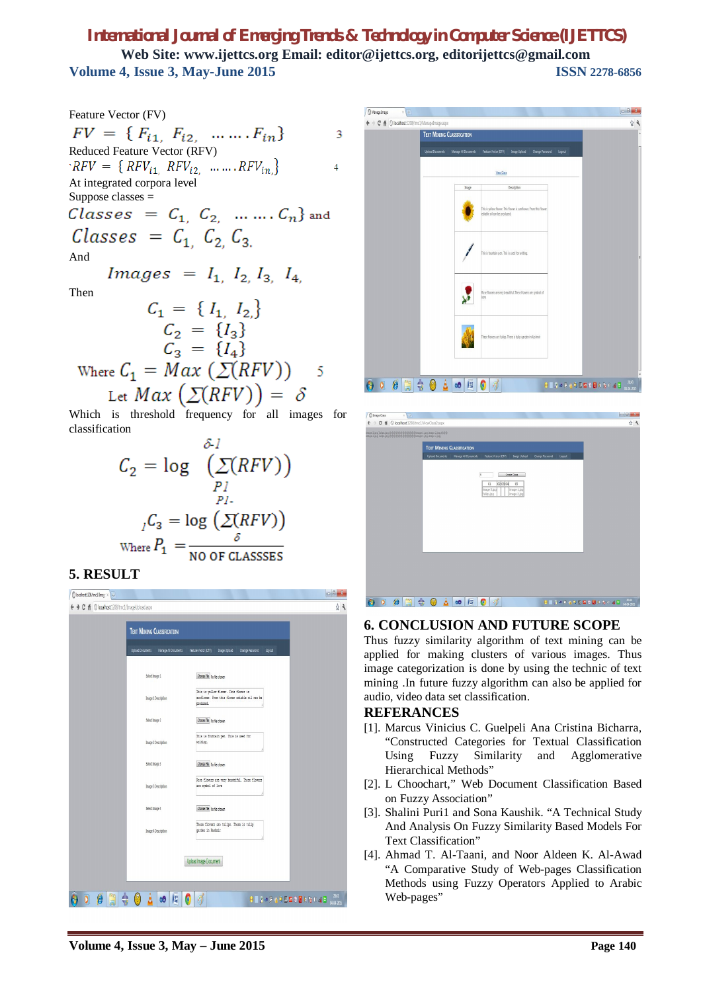Feature Vector (FV)  
\n
$$
FV = \{F_{i1}, F_{i2}, \dots \dots F_{in}\}
$$
 3  
\nReduced Feature Vector (RFV)  
\n'RFV = {RFV<sub>i1</sub>, RFV<sub>i2</sub>, ..., RFV<sub>in</sub>}\n  
\nAt integrated corpora level  
\nSuppose classes =  
\n*Classes* = C<sub>1</sub>, C<sub>2</sub>, ..., C<sub>n</sub>} and  
\n*Classes* = C<sub>1</sub>, C<sub>2</sub>, C<sub>3</sub>.  
\nAnd  
\n
$$
Images = I1, I2, I3, I4,
$$
\nThen  
\n
$$
C1 = \{I1, I2\}\nC2 = \{I3\}\nC1 - \{I1\}
$$

 $C_3 = \{I_4\}$ Where  $C_1 = Max (\Sigma(RFV))$ 5 Let  $Max(\Sigma(RFV)) = \delta$ 

Which is threshold frequency for all images for classification

$$
C_2 = \log \left( \sum_{P1}^{S-1} (RFV) \right)
$$

$$
{}_{I}C_3 = \log \left( \sum_{S} (RFV) \right)
$$

$$
V_{\text{here}} P_1 = \frac{\delta}{\delta}
$$

## **5. RESULT**





| C Image Class<br>$x \sqrt{a}$                                                                                               | $-6 - 3$                              |
|-----------------------------------------------------------------------------------------------------------------------------|---------------------------------------|
| C # © localhost1208/tmc1/ViewClass2.aspx<br>$\rightarrow$<br>$\leftarrow$                                                   | 白马                                    |
| mage 3.jpg Tulips.jpg.@@@@@@@@@@@@image 1.jpg.image 2.jpg.@@@<br>mage 3.jpg Tulips jpg @@@@@@@@@@@@@inage 1.jpg mage 2.jpg. |                                       |
|                                                                                                                             |                                       |
| <b>TEXT MINING CLASSIFICATION</b>                                                                                           |                                       |
| <b>Upload Decuments</b><br>Manage All Documents<br>Image Upload<br>Change Password<br>Feature Vector (CFA)<br>logett        |                                       |
|                                                                                                                             |                                       |
| ß<br>Create Class                                                                                                           |                                       |
| $C2$ $C3$ $C4$<br>$\mathbb{C}5$<br>C1                                                                                       |                                       |
| image 1.jpg<br>mage 3.jpg<br>Tulips.jpg<br>mage 2 jpg                                                                       |                                       |
|                                                                                                                             |                                       |
|                                                                                                                             |                                       |
|                                                                                                                             |                                       |
|                                                                                                                             |                                       |
|                                                                                                                             |                                       |
|                                                                                                                             |                                       |
|                                                                                                                             |                                       |
|                                                                                                                             |                                       |
|                                                                                                                             |                                       |
|                                                                                                                             |                                       |
|                                                                                                                             |                                       |
| ſ.                                                                                                                          | 2944                                  |
| 츣<br>H<br>Y<br>$\bullet$<br>$\circledcirc$ $\mathbb{I}$<br>$\bullet$<br>Δ                                                   | <b>DENNPAREMENT CAR</b><br>04-04-2005 |

#### **6. CONCLUSION AND FUTURE SCOPE**

Thus fuzzy similarity algorithm of text mining can be applied for making clusters of various images. Thus image categorization is done by using the technic of text mining .In future fuzzy algorithm can also be applied for audio, video data set classification.

#### **REFERANCES**

- [1]. Marcus Vinicius C. Guelpeli Ana Cristina Bicharra, "Constructed Categories for Textual Classification Using Fuzzy Similarity and Agglomerative Hierarchical Methods"
- [2]. L Choochart," Web Document Classification Based on Fuzzy Association"
- [3]. Shalini Puri1 and Sona Kaushik. "A Technical Study And Analysis On Fuzzy Similarity Based Models For Text Classification"
- [4]. Ahmad T. Al-Taani, and Noor Aldeen K. Al-Awad "A Comparative Study of Web-pages Classification Methods using Fuzzy Operators Applied to Arabic Web-pages"